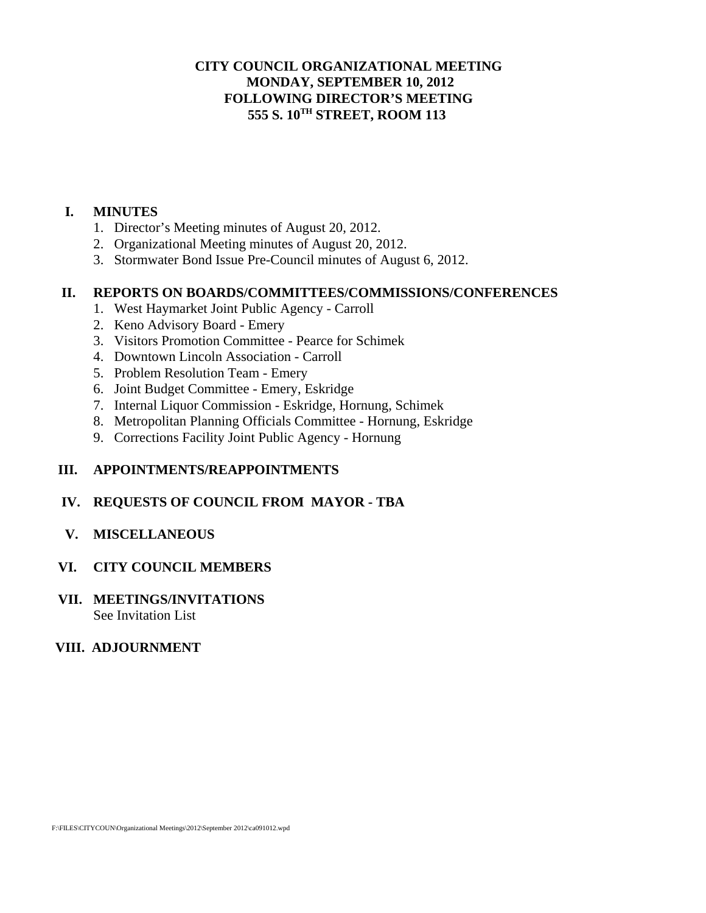### **CITY COUNCIL ORGANIZATIONAL MEETING MONDAY, SEPTEMBER 10, 2012 FOLLOWING DIRECTOR'S MEETING 555 S. 10TH STREET, ROOM 113**

### **I. MINUTES**

- 1. Director's Meeting minutes of August 20, 2012.
- 2. Organizational Meeting minutes of August 20, 2012.
- 3. Stormwater Bond Issue Pre-Council minutes of August 6, 2012.

### **II. REPORTS ON BOARDS/COMMITTEES/COMMISSIONS/CONFERENCES**

- 1. West Haymarket Joint Public Agency Carroll
- 2. Keno Advisory Board Emery
- 3. Visitors Promotion Committee Pearce for Schimek
- 4. Downtown Lincoln Association Carroll
- 5. Problem Resolution Team Emery
- 6. Joint Budget Committee Emery, Eskridge
- 7. Internal Liquor Commission Eskridge, Hornung, Schimek
- 8. Metropolitan Planning Officials Committee Hornung, Eskridge
- 9. Corrections Facility Joint Public Agency Hornung

### **III. APPOINTMENTS/REAPPOINTMENTS**

### **IV. REQUESTS OF COUNCIL FROM MAYOR - TBA**

### **V. MISCELLANEOUS**

### **VI. CITY COUNCIL MEMBERS**

### **VII. MEETINGS/INVITATIONS**  See Invitation List

### **VIII. ADJOURNMENT**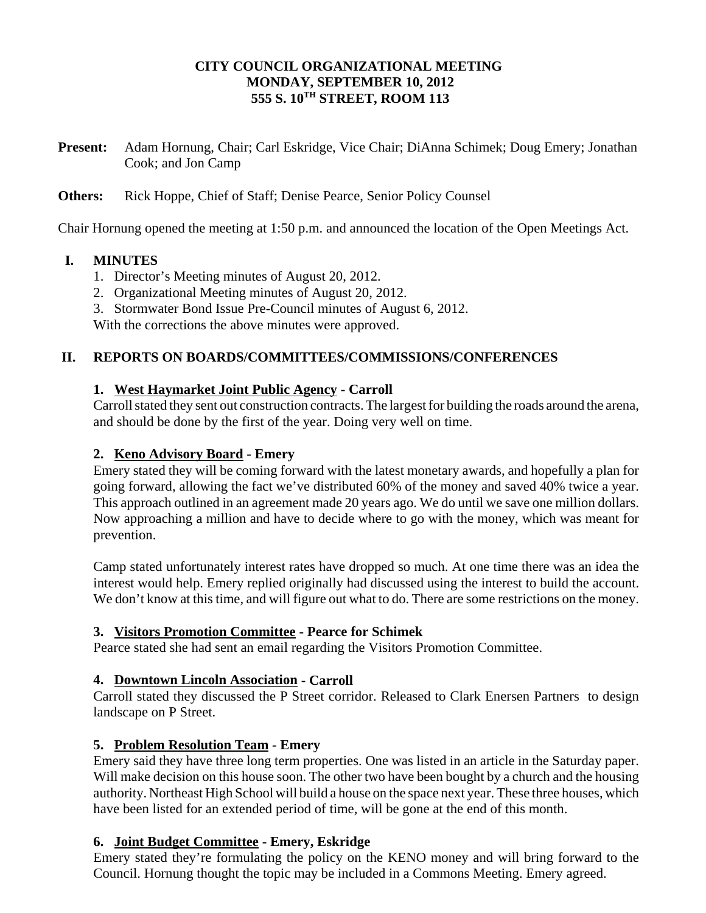### **CITY COUNCIL ORGANIZATIONAL MEETING MONDAY, SEPTEMBER 10, 2012 555 S. 10TH STREET, ROOM 113**

**Present:** Adam Hornung, Chair; Carl Eskridge, Vice Chair; DiAnna Schimek; Doug Emery; Jonathan Cook; and Jon Camp

**Others:** Rick Hoppe, Chief of Staff; Denise Pearce, Senior Policy Counsel

Chair Hornung opened the meeting at 1:50 p.m. and announced the location of the Open Meetings Act.

# **I. MINUTES**

- 1. Director's Meeting minutes of August 20, 2012.
- 2. Organizational Meeting minutes of August 20, 2012.
- 3. Stormwater Bond Issue Pre-Council minutes of August 6, 2012.

With the corrections the above minutes were approved.

# **II. REPORTS ON BOARDS/COMMITTEES/COMMISSIONS/CONFERENCES**

### **1. West Haymarket Joint Public Agency - Carroll**

Carroll stated they sent out construction contracts. The largest for building the roads around the arena, and should be done by the first of the year. Doing very well on time.

### **2. Keno Advisory Board - Emery**

Emery stated they will be coming forward with the latest monetary awards, and hopefully a plan for going forward, allowing the fact we've distributed 60% of the money and saved 40% twice a year. This approach outlined in an agreement made 20 years ago. We do until we save one million dollars. Now approaching a million and have to decide where to go with the money, which was meant for prevention.

Camp stated unfortunately interest rates have dropped so much. At one time there was an idea the interest would help. Emery replied originally had discussed using the interest to build the account. We don't know at this time, and will figure out what to do. There are some restrictions on the money.

### **3. Visitors Promotion Committee - Pearce for Schimek**

Pearce stated she had sent an email regarding the Visitors Promotion Committee.

### **4. Downtown Lincoln Association - Carroll**

Carroll stated they discussed the P Street corridor. Released to Clark Enersen Partners to design landscape on P Street.

### **5. Problem Resolution Team - Emery**

Emery said they have three long term properties. One was listed in an article in the Saturday paper. Will make decision on this house soon. The other two have been bought by a church and the housing authority. Northeast High School will build a house on the space next year. These three houses, which have been listed for an extended period of time, will be gone at the end of this month.

### **6. Joint Budget Committee - Emery, Eskridge**

Emery stated they're formulating the policy on the KENO money and will bring forward to the Council. Hornung thought the topic may be included in a Commons Meeting. Emery agreed.